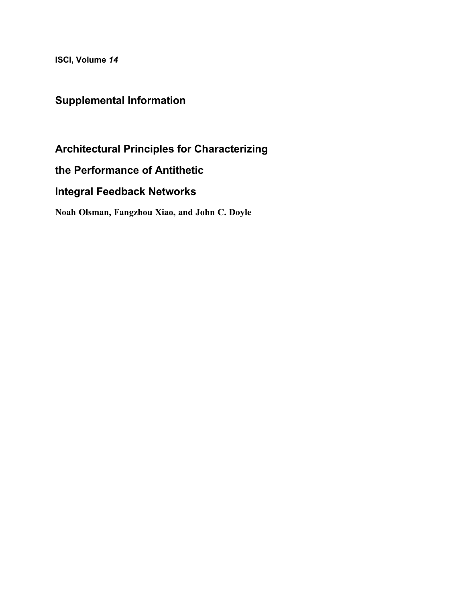ISCI, Volume 14

## Supplemental Information

Architectural Principles for Characterizing

the Performance of Antithetic

Integral Feedback Networks

Noah Olsman, Fangzhou Xiao, and John C. Doyle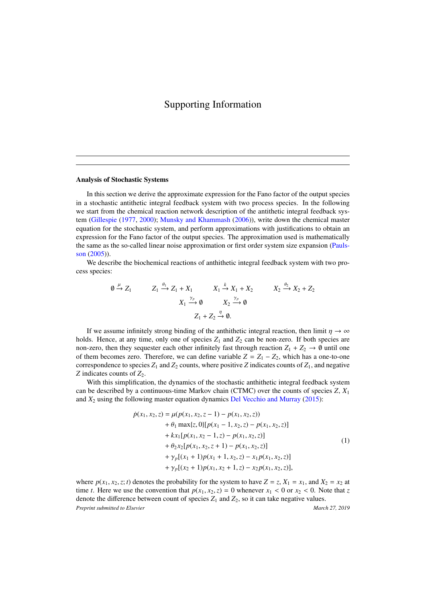## Supporting Information

## Analysis of Stochastic Systems

In this section we derive the approximate expression for the Fano factor of the output species in a stochastic antithetic integral feedback system with two process species. In the following we start from the chemical reaction network description of the antithetic integral feedback system [\(Gillespie](#page-3-0) [\(1977,](#page-3-0) [2000\)](#page-3-1); [Munsky and Khammash](#page-3-2) [\(2006\)](#page-3-2)), write down the chemical master equation for the stochastic system, and perform approximations with justifications to obtain an expression for the Fano factor of the output species. The approximation used is mathematically the same as the so-called linear noise approximation or first order system size expansion [\(Pauls](#page-3-3)[son](#page-3-3) [\(2005\)](#page-3-3)).

We describe the biochemical reactions of anthithetic integral feedback system with two process species:

$$
\begin{array}{cccc}\n0 \xrightarrow{\mu} Z_1 & Z_1 \xrightarrow{\theta_1} Z_1 + X_1 & X_1 \xrightarrow{k} X_1 + X_2 & X_2 \xrightarrow{\theta_2} X_2 + Z_2 \\
X_1 \xrightarrow{\gamma_p} 0 & X_2 \xrightarrow{\gamma_p} 0 \\
Z_1 + Z_2 \xrightarrow{\eta} 0.\n\end{array}
$$

If we assume infinitely strong binding of the anthithetic integral reaction, then limit  $\eta \to \infty$ holds. Hence, at any time, only one of species  $Z_1$  and  $Z_2$  can be non-zero. If both species are non-zero, then they sequester each other infinitely fast through reaction  $Z_1 + Z_2 \rightarrow \emptyset$  until one of them becomes zero. Therefore, we can define variable  $Z = Z_1 - Z_2$ , which has a one-to-one correspondence to species  $Z_1$  and  $Z_2$  counts, where positive  $Z$  indicates counts of  $Z_1$ , and negative *Z* indicates counts of  $Z_2$ .

With this simplification, the dynamics of the stochastic anthithetic integral feedback system can be described by a continuous-time Markov chain (CTMC) over the counts of species *Z*, *X*<sup>1</sup> and  $X_2$  using the following master equation dynamics [Del Vecchio and Murray](#page-3-4) [\(2015\)](#page-3-4):

<span id="page-1-0"></span>
$$
\dot{p}(x_1, x_2, z) = \mu(p(x_1, x_2, z - 1) - p(x_1, x_2, z)) \n+ \theta_1 \max\{z, 0\}[p(x_1 - 1, x_2, z) - p(x_1, x_2, z)] \n+ kx_1[p(x_1, x_2 - 1, z) - p(x_1, x_2, z)] \n+ \theta_2 x_2[p(x_1, x_2, z + 1) - p(x_1, x_2, z)] \n+ \gamma_p[(x_1 + 1)p(x_1 + 1, x_2, z) - x_1 p(x_1, x_2, z)] \n+ \gamma_p[(x_2 + 1)p(x_1, x_2 + 1, z) - x_2 p(x_1, x_2, z)],
$$
\n(1)

where  $p(x_1, x_2, z; t)$  denotes the probability for the system to have  $Z = z$ ,  $X_1 = x_1$ , and  $X_2 = x_2$  at time *t*. Here we use the convention that  $p(x_1, x_2, z) = 0$  whenever  $x_1 < 0$  or  $x_2 < 0$ . Note that *z* denote the difference between count of species  $Z_1$  and  $Z_2$ , so it can take negative values. *Preprint submitted to Elsevier* March 27, 2019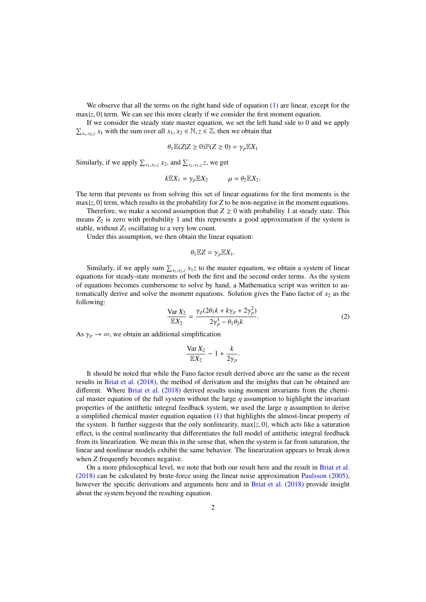We observe that all the terms on the right hand side of equation [\(1\)](#page-1-0) are linear, except for the  $\max\{z, 0\}$  term. We can see this more clearly if we consider the first moment equation.

If we consider the steady state master equation, we set the left hand side to 0 and we apply  $\sum_{x_1, x_2, z} x_1$  with the sum over all  $x_1, x_2 \in \mathbb{N}, z \in \mathbb{Z}$ , then we obtain that

$$
\theta_1 \mathbb{E}(Z|Z \ge 0) \mathbb{P}(Z \ge 0) = \gamma_p \mathbb{E} X_1
$$

Similarly, if we apply  $\sum_{x_1, x_2, z} x_2$ , and  $\sum_{x_1, x_2, z} z$ , we get

$$
k\mathbb{E}X_1=\gamma_p\mathbb{E}X_2\qquad\qquad\mu=\theta_2\mathbb{E}X_2.
$$

The term that prevents us from solving this set of linear equations for the first moments is the  $\max\{z, 0\}$  term, which results in the probability for *Z* to be non-negative in the moment equations.

Therefore, we make a second assumption that  $Z \ge 0$  with probability 1 at steady state. This means  $Z_2$  is zero with probability 1 and this represents a good approximation if the system is stable, without  $Z_1$  oscillating to a very low count.

Under this assumption, we then obtain the linear equation:

$$
\theta_1 \mathbb{E} Z = \gamma_p \mathbb{E} X_1.
$$

Similarly, if we apply sum  $\sum_{x_1, x_2, z} x_1 z$  to the master equation, we obtain a system of linear stinus for steady state moments of both the first and the second order terms. As the system equations for steady-state moments of both the first and the second order terms. As the system of equations becomes cumbersome to solve by hand, a Mathematica script was written to automatically derive and solve the moment equations. Solution gives the Fano factor of  $x_2$  as the following:

$$
\frac{\text{Var}\,X_2}{\mathbb{E}X_2} = \frac{\gamma_p (2\theta_1 k + k\gamma_p + 2\gamma_p^2)}{2\gamma_p^3 - \theta_1 \theta_2 k}.\tag{2}
$$

As  $\gamma_p \to \infty$ , we obtain an additional simplification

$$
\frac{\text{Var}\,X_2}{\mathbb{E}X_2} \sim 1 + \frac{k}{2\gamma_p}
$$

It should be noted that while the Fano factor result derived above are the same as the recent results in [Briat et al.](#page-3-5) [\(2018\)](#page-3-5), the method of derivation and the insights that can be obtained are different. Where [Briat et al.](#page-3-5) [\(2018\)](#page-3-5) derived results using moment invariants from the chemical master equation of the full system without the large  $\eta$  assumption to highlight the invariant properties of the antithetic integral feedback system, we used the large  $\eta$  assumption to derive a simplified chemical master equation equation [\(1\)](#page-1-0) that highlights the almost-linear property of the system. It further suggests that the only nonlinearity,  $max{z, 0}$ , which acts like a saturation effect, is the central nonlinearity that differentiates the full model of antithetic integral feedback from its linearization. We mean this in the sense that, when the system is far from saturation, the linear and nonlinear models exhibit the same behavior. The linearization appears to break down when *Z* frequently becomes negative.

On a more philosophical level, we note that both our result here and the result in [Briat et al.](#page-3-5) [\(2018\)](#page-3-5) can be calculated by brute-force using the linear noise approximation [Paulsson](#page-3-3) [\(2005\)](#page-3-3), however the specific derivations and arguments here and in [Briat et al.](#page-3-5) [\(2018\)](#page-3-5) provide insight about the system beyond the resulting equation.